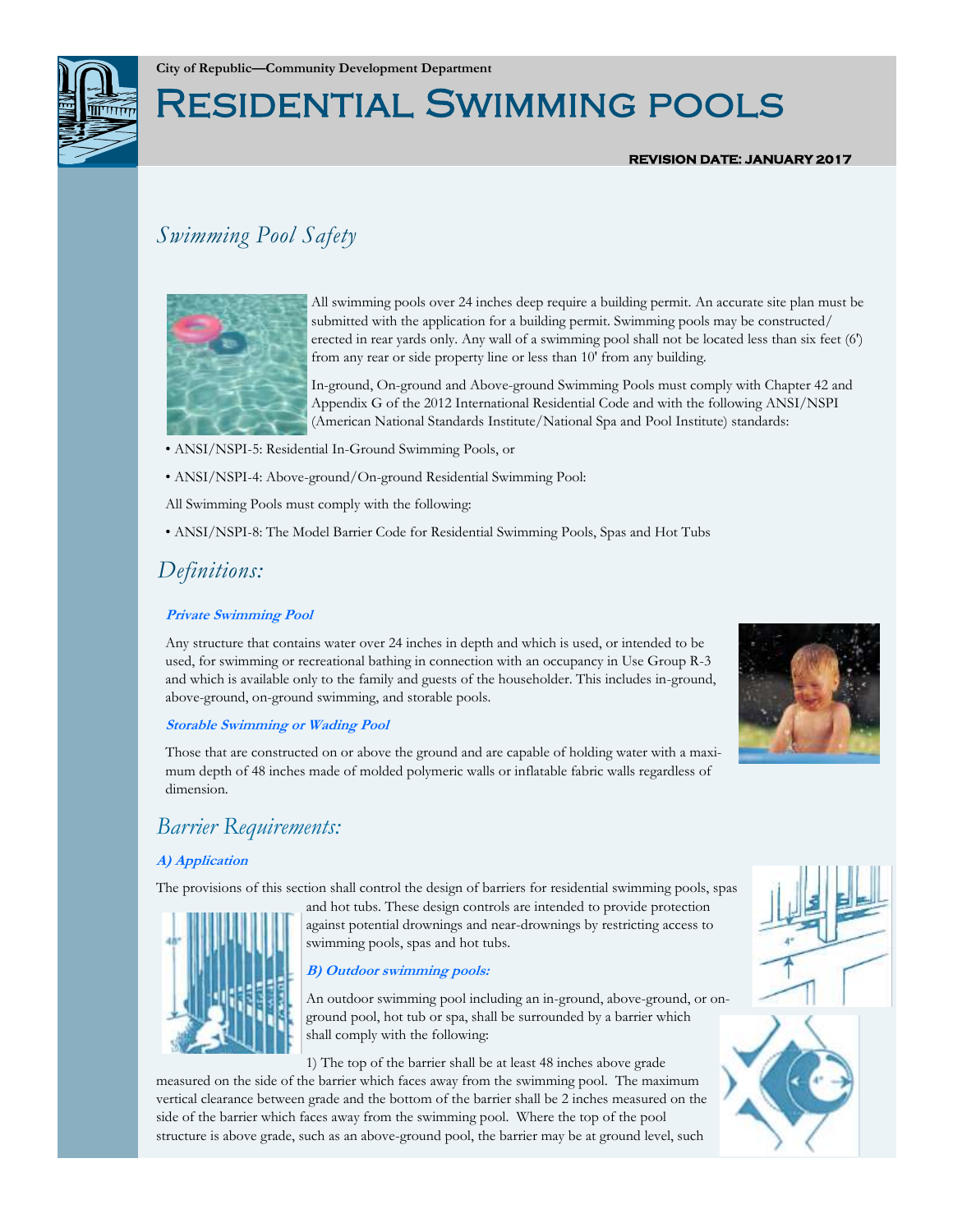

# Residential Swimming pools

#### **REVISION DATE: JANUARY 2017**

### *Swimming Pool Safety*



All swimming pools over 24 inches deep require a building permit. An accurate site plan must be submitted with the application for a building permit. Swimming pools may be constructed/ erected in rear yards only. Any wall of a swimming pool shall not be located less than six feet (6') from any rear or side property line or less than 10' from any building.

In-ground, On-ground and Above-ground Swimming Pools must comply with Chapter 42 and Appendix G of the 2012 International Residential Code and with the following ANSI/NSPI (American National Standards Institute/National Spa and Pool Institute) standards:

- ANSI/NSPI-5: Residential In-Ground Swimming Pools, or
- ANSI/NSPI-4: Above-ground/On-ground Residential Swimming Pool:
- All Swimming Pools must comply with the following:
- ANSI/NSPI-8: The Model Barrier Code for Residential Swimming Pools, Spas and Hot Tubs

### *Definitions:*

#### **Private Swimming Pool**

Any structure that contains water over 24 inches in depth and which is used, or intended to be used, for swimming or recreational bathing in connection with an occupancy in Use Group R-3 and which is available only to the family and guests of the householder. This includes in-ground, above-ground, on-ground swimming, and storable pools.

#### **Storable Swimming or Wading Pool**

Those that are constructed on or above the ground and are capable of holding water with a maximum depth of 48 inches made of molded polymeric walls or inflatable fabric walls regardless of dimension.

### *Barrier Requirements:*

#### **A) Application**

The provisions of this section shall control the design of barriers for residential swimming pools, spas





An outdoor swimming pool including an in-ground, above-ground, or onground pool, hot tub or spa, shall be surrounded by a barrier which shall comply with the following:

1) The top of the barrier shall be at least 48 inches above grade

measured on the side of the barrier which faces away from the swimming pool. The maximum vertical clearance between grade and the bottom of the barrier shall be 2 inches measured on the side of the barrier which faces away from the swimming pool. Where the top of the pool structure is above grade, such as an above-ground pool, the barrier may be at ground level, such



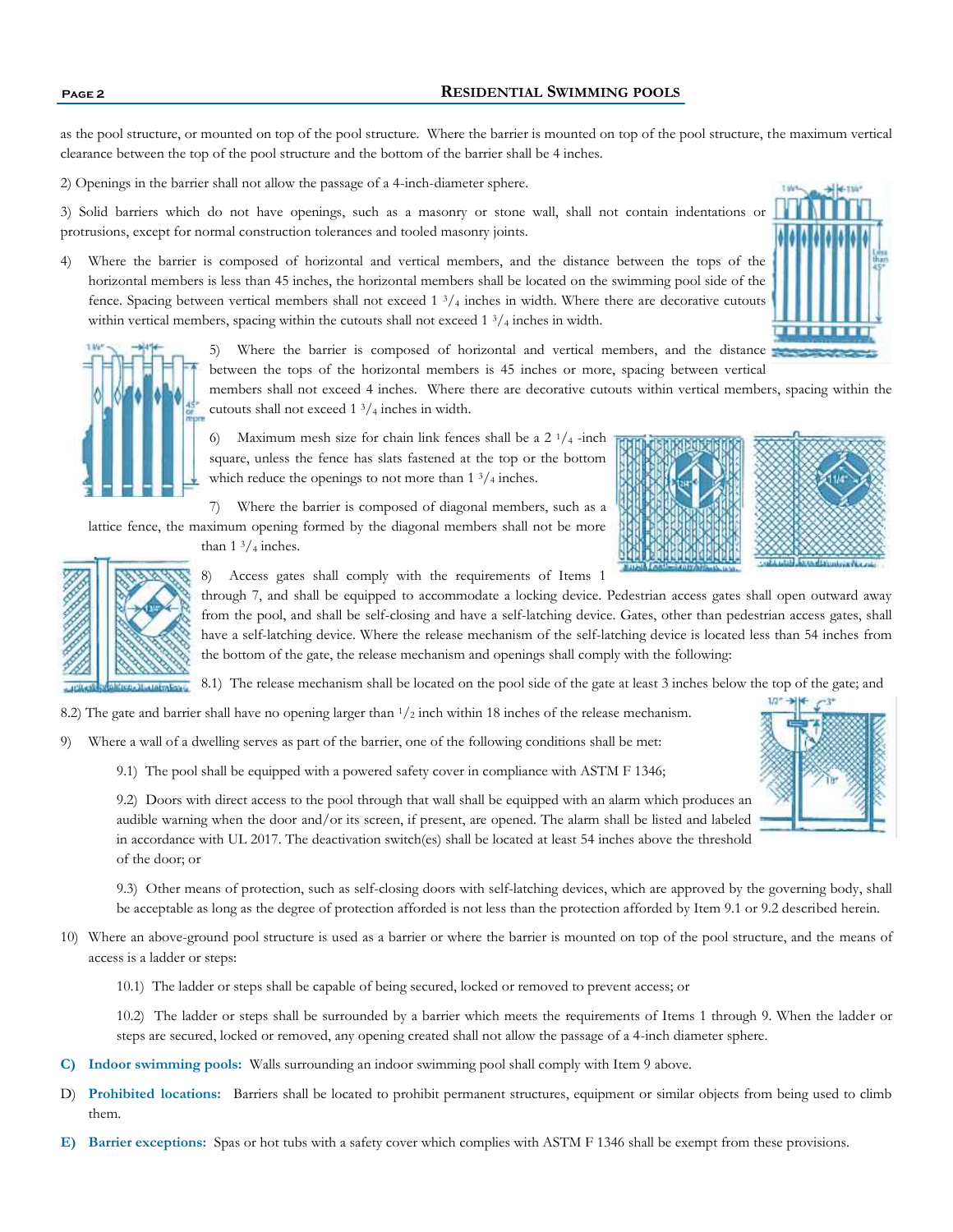#### **Page 2 RESIDENTIAL SWIMMING POOLS**

as the pool structure, or mounted on top of the pool structure. Where the barrier is mounted on top of the pool structure, the maximum vertical clearance between the top of the pool structure and the bottom of the barrier shall be 4 inches.

2) Openings in the barrier shall not allow the passage of a 4-inch-diameter sphere.

3) Solid barriers which do not have openings, such as a masonry or stone wall, shall not contain indentations or protrusions, except for normal construction tolerances and tooled masonry joints.

4) Where the barrier is composed of horizontal and vertical members, and the distance between the tops of the horizontal members is less than 45 inches, the horizontal members shall be located on the swimming pool side of the fence. Spacing between vertical members shall not exceed  $1 \frac{3}{4}$  inches in width. Where there are decorative cutouts within vertical members, spacing within the cutouts shall not exceed  $1\frac{3}{4}$  inches in width.





5) Where the barrier is composed of horizontal and vertical members, and the distance between the tops of the horizontal members is 45 inches or more, spacing between vertical

members shall not exceed 4 inches. Where there are decorative cutouts within vertical members, spacing within the cutouts shall not exceed 1 3/<sup>4</sup> inches in width.

6) Maximum mesh size for chain link fences shall be a  $2 \frac{1}{4}$ -inch square, unless the fence has slats fastened at the top or the bottom which reduce the openings to not more than  $1 \frac{3}{4}$  inches.







8) Access gates shall comply with the requirements of Items 1

through 7, and shall be equipped to accommodate a locking device. Pedestrian access gates shall open outward away from the pool, and shall be self-closing and have a self-latching device. Gates, other than pedestrian access gates, shall have a self-latching device. Where the release mechanism of the self-latching device is located less than 54 inches from the bottom of the gate, the release mechanism and openings shall comply with the following:

8.1) The release mechanism shall be located on the pool side of the gate at least 3 inches below the top of the gate; and

- 8.2) The gate and barrier shall have no opening larger than  $1/2$  inch within 18 inches of the release mechanism.
- 9) Where a wall of a dwelling serves as part of the barrier, one of the following conditions shall be met:
	- 9.1) The pool shall be equipped with a powered safety cover in compliance with ASTM F 1346;

9.2) Doors with direct access to the pool through that wall shall be equipped with an alarm which produces an audible warning when the door and/or its screen, if present, are opened. The alarm shall be listed and labeled in accordance with UL 2017. The deactivation switch(es) shall be located at least 54 inches above the threshold of the door; or

9.3) Other means of protection, such as self-closing doors with self-latching devices, which are approved by the governing body, shall be acceptable as long as the degree of protection afforded is not less than the protection afforded by Item 9.1 or 9.2 described herein.

- 10) Where an above-ground pool structure is used as a barrier or where the barrier is mounted on top of the pool structure, and the means of access is a ladder or steps:
	- 10.1) The ladder or steps shall be capable of being secured, locked or removed to prevent access; or

10.2) The ladder or steps shall be surrounded by a barrier which meets the requirements of Items 1 through 9. When the ladder or steps are secured, locked or removed, any opening created shall not allow the passage of a 4-inch diameter sphere.

- **C) Indoor swimming pools:** Walls surrounding an indoor swimming pool shall comply with Item 9 above.
- D) **Prohibited locations:** Barriers shall be located to prohibit permanent structures, equipment or similar objects from being used to climb them.
- **E) Barrier exceptions:** Spas or hot tubs with a safety cover which complies with ASTM F 1346 shall be exempt from these provisions.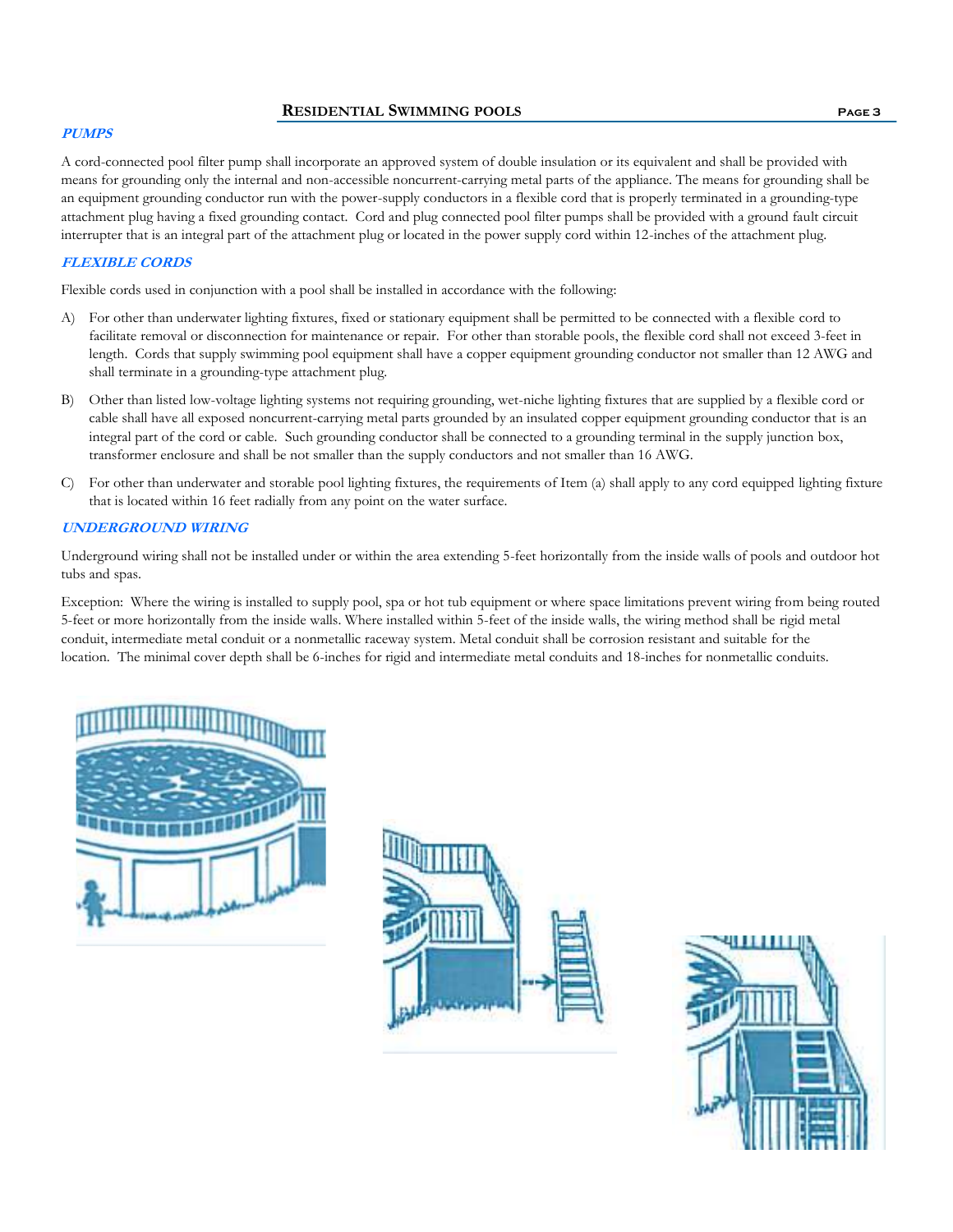#### **RESIDENTIAL SWIMMING POOLS Page 3**

#### **PUMPS**

A cord-connected pool filter pump shall incorporate an approved system of double insulation or its equivalent and shall be provided with means for grounding only the internal and non-accessible noncurrent-carrying metal parts of the appliance. The means for grounding shall be an equipment grounding conductor run with the power-supply conductors in a flexible cord that is properly terminated in a grounding-type attachment plug having a fixed grounding contact. Cord and plug connected pool filter pumps shall be provided with a ground fault circuit interrupter that is an integral part of the attachment plug or located in the power supply cord within 12-inches of the attachment plug.

#### **FLEXIBLE CORDS**

Flexible cords used in conjunction with a pool shall be installed in accordance with the following:

- A) For other than underwater lighting fixtures, fixed or stationary equipment shall be permitted to be connected with a flexible cord to facilitate removal or disconnection for maintenance or repair. For other than storable pools, the flexible cord shall not exceed 3-feet in length. Cords that supply swimming pool equipment shall have a copper equipment grounding conductor not smaller than 12 AWG and shall terminate in a grounding-type attachment plug.
- B) Other than listed low-voltage lighting systems not requiring grounding, wet-niche lighting fixtures that are supplied by a flexible cord or cable shall have all exposed noncurrent-carrying metal parts grounded by an insulated copper equipment grounding conductor that is an integral part of the cord or cable. Such grounding conductor shall be connected to a grounding terminal in the supply junction box, transformer enclosure and shall be not smaller than the supply conductors and not smaller than 16 AWG.
- C) For other than underwater and storable pool lighting fixtures, the requirements of Item (a) shall apply to any cord equipped lighting fixture that is located within 16 feet radially from any point on the water surface.

#### **UNDERGROUND WIRING**

Underground wiring shall not be installed under or within the area extending 5-feet horizontally from the inside walls of pools and outdoor hot tubs and spas.

Exception: Where the wiring is installed to supply pool, spa or hot tub equipment or where space limitations prevent wiring from being routed 5-feet or more horizontally from the inside walls. Where installed within 5-feet of the inside walls, the wiring method shall be rigid metal conduit, intermediate metal conduit or a nonmetallic raceway system. Metal conduit shall be corrosion resistant and suitable for the location. The minimal cover depth shall be 6-inches for rigid and intermediate metal conduits and 18-inches for nonmetallic conduits.





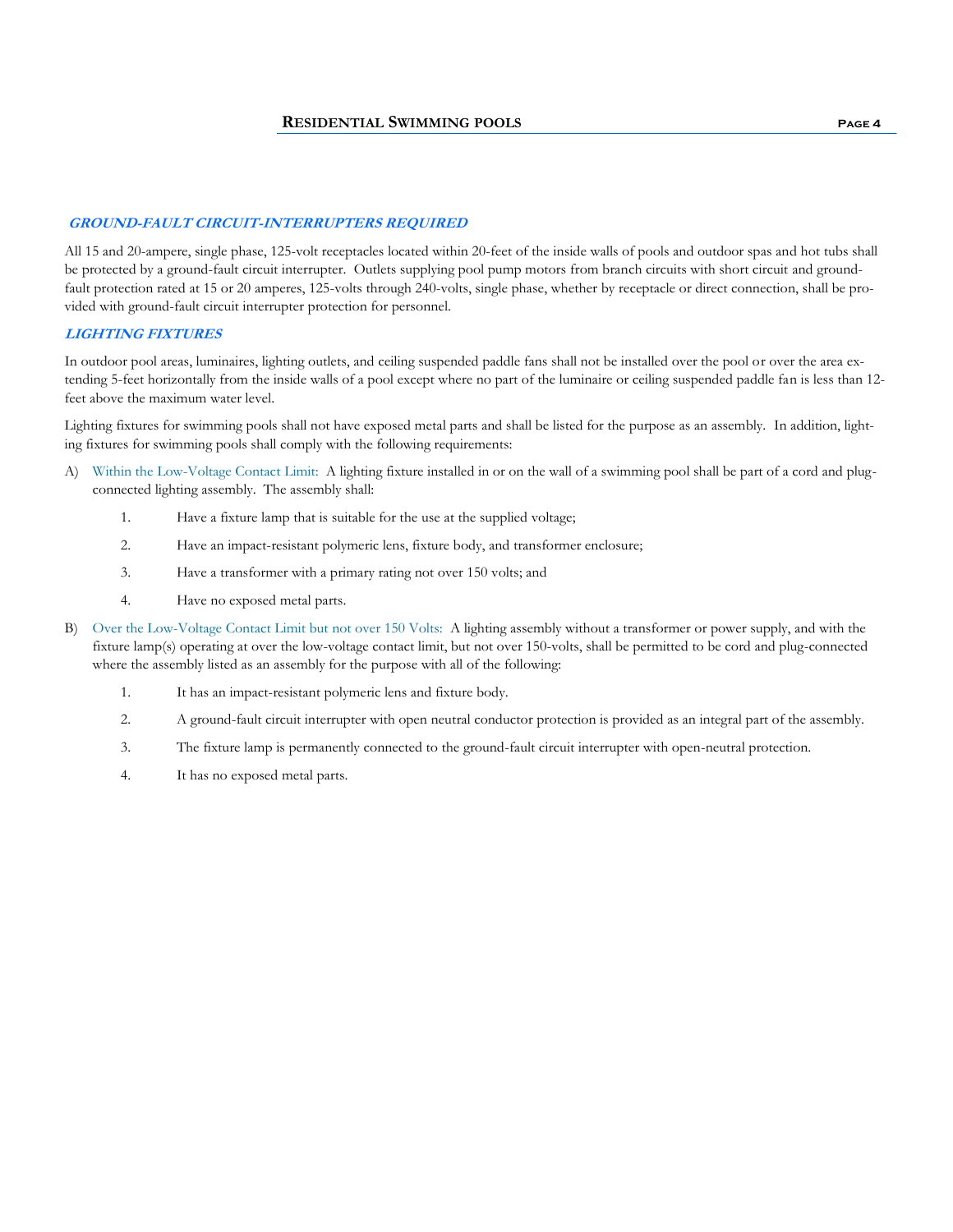#### **GROUND-FAULT CIRCUIT-INTERRUPTERS REQUIRED**

All 15 and 20-ampere, single phase, 125-volt receptacles located within 20-feet of the inside walls of pools and outdoor spas and hot tubs shall be protected by a ground-fault circuit interrupter. Outlets supplying pool pump motors from branch circuits with short circuit and groundfault protection rated at 15 or 20 amperes, 125-volts through 240-volts, single phase, whether by receptacle or direct connection, shall be provided with ground-fault circuit interrupter protection for personnel.

#### **LIGHTING FIXTURES**

In outdoor pool areas, luminaires, lighting outlets, and ceiling suspended paddle fans shall not be installed over the pool or over the area extending 5-feet horizontally from the inside walls of a pool except where no part of the luminaire or ceiling suspended paddle fan is less than 12 feet above the maximum water level.

Lighting fixtures for swimming pools shall not have exposed metal parts and shall be listed for the purpose as an assembly. In addition, lighting fixtures for swimming pools shall comply with the following requirements:

- A) Within the Low-Voltage Contact Limit: A lighting fixture installed in or on the wall of a swimming pool shall be part of a cord and plugconnected lighting assembly. The assembly shall:
	- 1. Have a fixture lamp that is suitable for the use at the supplied voltage;
	- 2. Have an impact-resistant polymeric lens, fixture body, and transformer enclosure;
	- 3. Have a transformer with a primary rating not over 150 volts; and
	- 4. Have no exposed metal parts.
- B) Over the Low-Voltage Contact Limit but not over 150 Volts: A lighting assembly without a transformer or power supply, and with the fixture lamp(s) operating at over the low-voltage contact limit, but not over 150-volts, shall be permitted to be cord and plug-connected where the assembly listed as an assembly for the purpose with all of the following:
	- 1. It has an impact-resistant polymeric lens and fixture body.
	- 2. A ground-fault circuit interrupter with open neutral conductor protection is provided as an integral part of the assembly.
	- 3. The fixture lamp is permanently connected to the ground-fault circuit interrupter with open-neutral protection.
	- 4. It has no exposed metal parts.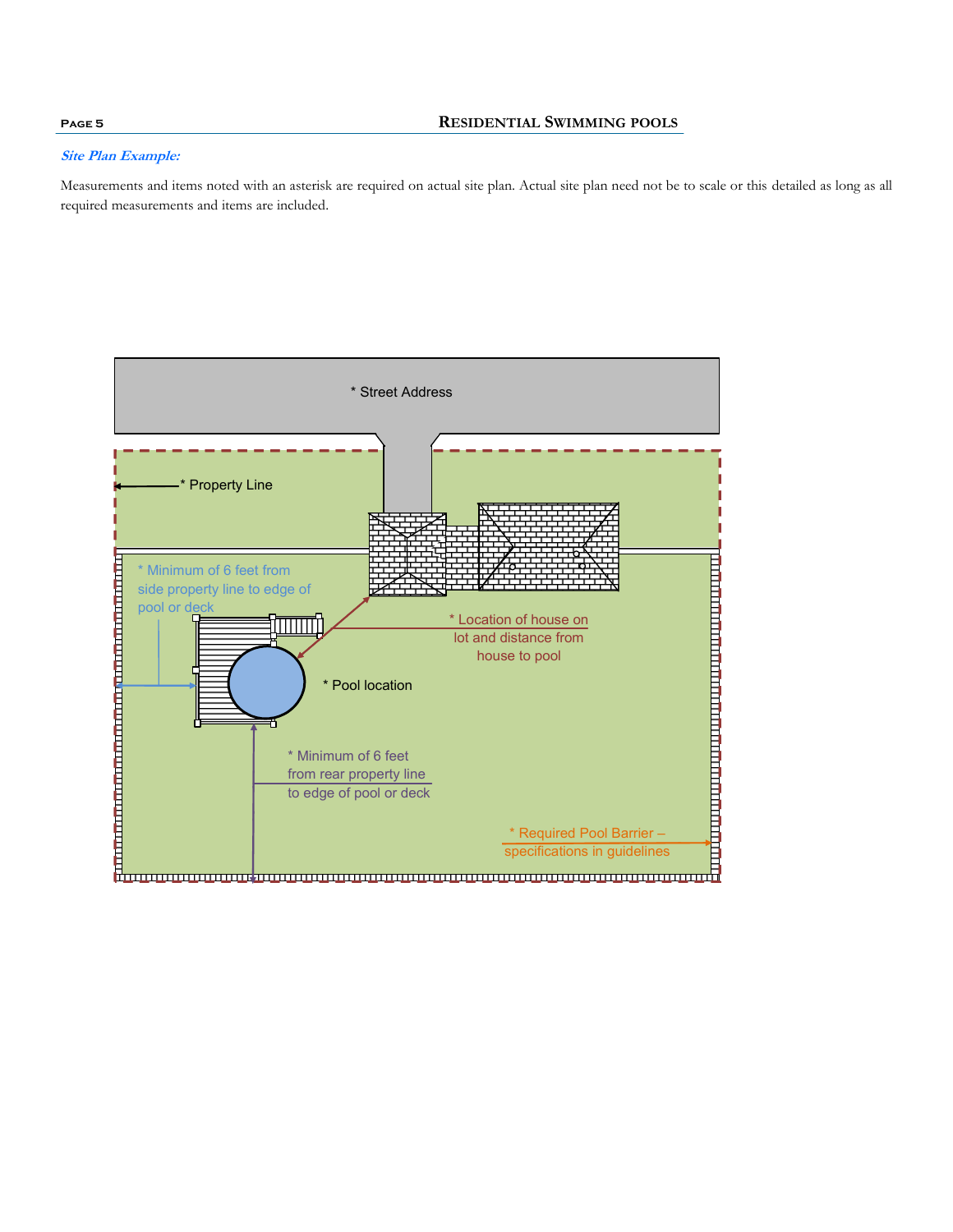#### **Site Plan Example:**

Measurements and items noted with an asterisk are required on actual site plan. Actual site plan need not be to scale or this detailed as long as all required measurements and items are included.



### **Page 5 RESIDENTIAL SWIMMING POOLS**